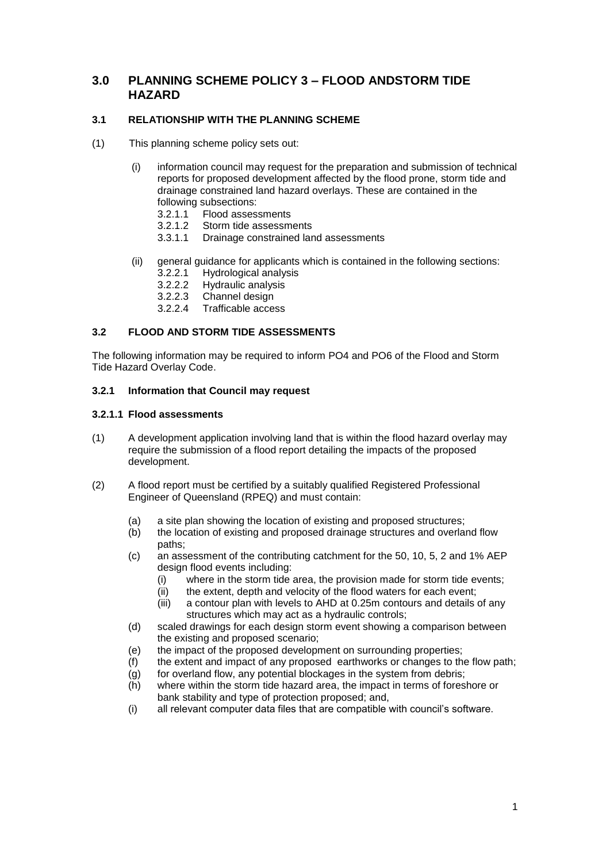# **3.0 PLANNING SCHEME POLICY 3 – FLOOD ANDSTORM TIDE HAZARD**

## **3.1 RELATIONSHIP WITH THE PLANNING SCHEME**

- (1) This planning scheme policy sets out:
	- (i) information council may request for the preparation and submission of technical reports for proposed development affected by the flood prone, storm tide and drainage constrained land hazard overlays. These are contained in the following subsections:
		- 3.2.1.1 Flood assessments
		- 3.2.1.2 Storm tide assessments
		- 3.3.1.1 Drainage constrained land assessments
	- (ii) general guidance for applicants which is contained in the following sections:
		- 3.2.2.1 Hydrological analysis
		- 3.2.2.2 Hydraulic analysis
		- 3.2.2.3 Channel design<br>3.2.2.4 Trafficable acce
		- Trafficable access

# **3.2 FLOOD AND STORM TIDE ASSESSMENTS**

The following information may be required to inform PO4 and PO6 of the Flood and Storm Tide Hazard Overlay Code.

## **3.2.1 Information that Council may request**

#### **3.2.1.1 Flood assessments**

- (1) A development application involving land that is within the flood hazard overlay may require the submission of a flood report detailing the impacts of the proposed development.
- (2) A flood report must be certified by a suitably qualified Registered Professional Engineer of Queensland (RPEQ) and must contain:
	- (a) a site plan showing the location of existing and proposed structures;
	- (b) the location of existing and proposed drainage structures and overland flow paths;
	- (c) an assessment of the contributing catchment for the 50, 10, 5, 2 and 1% AEP design flood events including:
		- (i) where in the storm tide area, the provision made for storm tide events;
		- (ii) the extent, depth and velocity of the flood waters for each event;
		- (iii) a contour plan with levels to AHD at 0.25m contours and details of any structures which may act as a hydraulic controls;
	- (d) scaled drawings for each design storm event showing a comparison between the existing and proposed scenario;
	- (e) the impact of the proposed development on surrounding properties;
	- (f) the extent and impact of any proposed earthworks or changes to the flow path;
	- (g) for overland flow, any potential blockages in the system from debris;
	- (h) where within the storm tide hazard area, the impact in terms of foreshore or bank stability and type of protection proposed; and,
	- (i) all relevant computer data files that are compatible with council's software.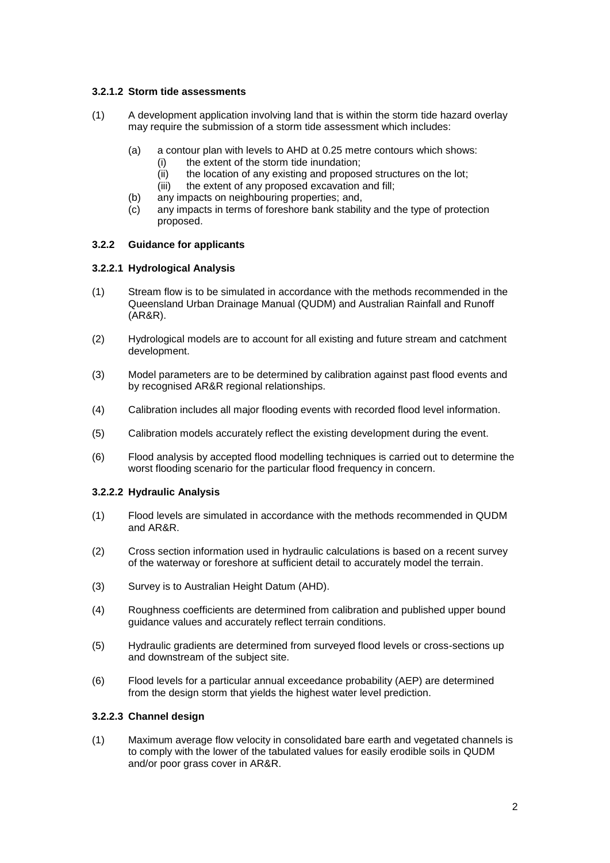## **3.2.1.2 Storm tide assessments**

- (1) A development application involving land that is within the storm tide hazard overlay may require the submission of a storm tide assessment which includes:
	- (a) a contour plan with levels to AHD at 0.25 metre contours which shows:
		- (i) the extent of the storm tide inundation;
		- (ii) the location of any existing and proposed structures on the lot;
		- (iii) the extent of any proposed excavation and fill;
	- (b) any impacts on neighbouring properties; and,
	- (c) any impacts in terms of foreshore bank stability and the type of protection proposed.

## **3.2.2 Guidance for applicants**

#### **3.2.2.1 Hydrological Analysis**

- (1) Stream flow is to be simulated in accordance with the methods recommended in the Queensland Urban Drainage Manual (QUDM) and Australian Rainfall and Runoff (AR&R).
- (2) Hydrological models are to account for all existing and future stream and catchment development.
- (3) Model parameters are to be determined by calibration against past flood events and by recognised AR&R regional relationships.
- (4) Calibration includes all major flooding events with recorded flood level information.
- (5) Calibration models accurately reflect the existing development during the event.
- (6) Flood analysis by accepted flood modelling techniques is carried out to determine the worst flooding scenario for the particular flood frequency in concern.

## **3.2.2.2 Hydraulic Analysis**

- (1) Flood levels are simulated in accordance with the methods recommended in QUDM and AR&R.
- (2) Cross section information used in hydraulic calculations is based on a recent survey of the waterway or foreshore at sufficient detail to accurately model the terrain.
- (3) Survey is to Australian Height Datum (AHD).
- (4) Roughness coefficients are determined from calibration and published upper bound guidance values and accurately reflect terrain conditions.
- (5) Hydraulic gradients are determined from surveyed flood levels or cross-sections up and downstream of the subject site.
- (6) Flood levels for a particular annual exceedance probability (AEP) are determined from the design storm that yields the highest water level prediction.

## **3.2.2.3 Channel design**

(1) Maximum average flow velocity in consolidated bare earth and vegetated channels is to comply with the lower of the tabulated values for easily erodible soils in QUDM and/or poor grass cover in AR&R.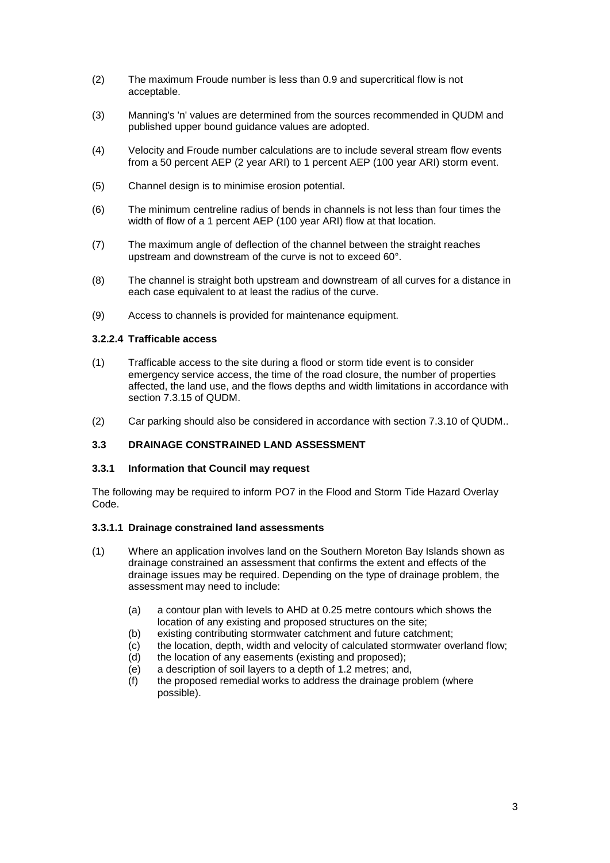- (2) The maximum Froude number is less than 0.9 and supercritical flow is not acceptable.
- (3) Manning's 'n' values are determined from the sources recommended in QUDM and published upper bound guidance values are adopted.
- (4) Velocity and Froude number calculations are to include several stream flow events from a 50 percent AEP (2 year ARI) to 1 percent AEP (100 year ARI) storm event.
- (5) Channel design is to minimise erosion potential.
- (6) The minimum centreline radius of bends in channels is not less than four times the width of flow of a 1 percent AEP (100 year ARI) flow at that location.
- (7) The maximum angle of deflection of the channel between the straight reaches upstream and downstream of the curve is not to exceed 60°.
- (8) The channel is straight both upstream and downstream of all curves for a distance in each case equivalent to at least the radius of the curve.
- (9) Access to channels is provided for maintenance equipment.

#### **3.2.2.4 Trafficable access**

- (1) Trafficable access to the site during a flood or storm tide event is to consider emergency service access, the time of the road closure, the number of properties affected, the land use, and the flows depths and width limitations in accordance with section 7.3.15 of QUDM.
- (2) Car parking should also be considered in accordance with section 7.3.10 of QUDM..

#### **3.3 DRAINAGE CONSTRAINED LAND ASSESSMENT**

#### **3.3.1 Information that Council may request**

The following may be required to inform PO7 in the Flood and Storm Tide Hazard Overlay Code.

#### **3.3.1.1 Drainage constrained land assessments**

- (1) Where an application involves land on the Southern Moreton Bay Islands shown as drainage constrained an assessment that confirms the extent and effects of the drainage issues may be required. Depending on the type of drainage problem, the assessment may need to include:
	- (a) a contour plan with levels to AHD at 0.25 metre contours which shows the location of any existing and proposed structures on the site;
	- (b) existing contributing stormwater catchment and future catchment;
	- (c) the location, depth, width and velocity of calculated stormwater overland flow;
	- (d) the location of any easements (existing and proposed);
	- (e) a description of soil layers to a depth of 1.2 metres; and,
	- (f) the proposed remedial works to address the drainage problem (where possible).